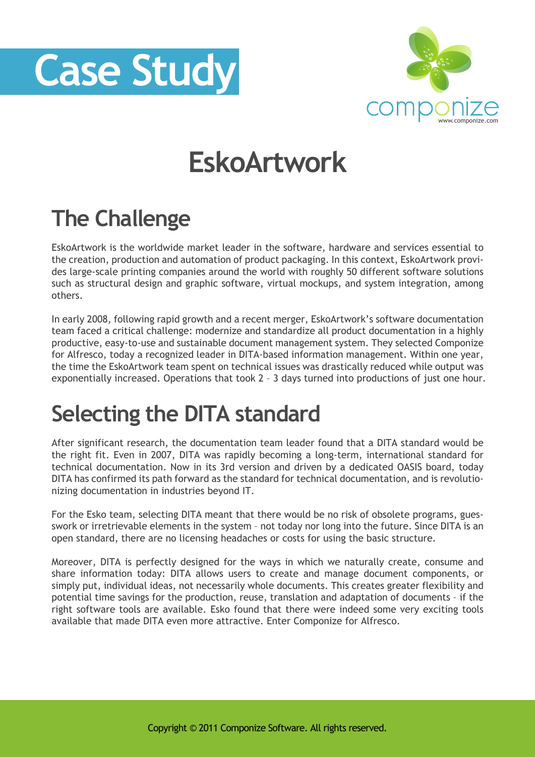



## **EskoArtwork**

## **The Challenge**

EskoArtwork is the worldwide market leader in the software, hardware and services essential to the creation, production and automation of product packaging. In this context, EskoArtwork provides large-scale printing companies around the world with roughly 50 different software solutions such as structural design and graphic software, virtual mockups, and system integration, among others.

In early 2008, following rapid growth and a recent merger, EskoArtwork's software documentation team faced a critical challenge: modernize and standardize all product documentation in a highly productive, easy-to-use and sustainable document management system. They selected Componize for Alfresco, today a recognized leader in DITA-based information management. Within one year, the time the EskoArtwork team spent on technical issues was drastically reduced while output was exponentially increased. Operations that took 2 – 3 days turned into productions of just one hour.

## **Selecting the DITA standard**

After significant research, the documentation team leader found that a DITA standard would be the right fit. Even in 2007, DITA was rapidly becoming a long-term, international standard for technical documentation. Now in its 3rd version and driven by a dedicated OASIS board, today DITA has confirmed its path forward as the standard for technical documentation, and is revolutionizing documentation in industries beyond IT.

For the Esko team, selecting DITA meant that there would be no risk of obsolete programs, guesswork or irretrievable elements in the system – not today nor long into the future. Since DITA is an open standard, there are no licensing headaches or costs for using the basic structure.

Moreover, DITA is perfectly designed for the ways in which we naturally create, consume and share information today: DITA allows users to create and manage document components, or simply put, individual ideas, not necessarily whole documents. This creates greater flexibility and potential time savings for the production, reuse, translation and adaptation of documents – if the right software tools are available. Esko found that there were indeed some very exciting tools available that made DITA even more attractive. Enter Componize for Alfresco.